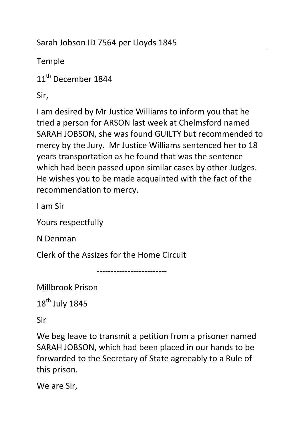Temple

11<sup>th</sup> December 1844

Sir,

I am desired by Mr Justice Williams to inform you that he tried a person for ARSON last week at Chelmsford named SARAH JOBSON, she was found GUILTY but recommended to mercy by the Jury. Mr Justice Williams sentenced her to 18 years transportation as he found that was the sentence which had been passed upon similar cases by other Judges. He wishes you to be made acquainted with the fact of the recommendation to mercy.

I am Sir

Yours respectfully

N Denman

Clerk of the Assizes for the Home Circuit

-------------------------

Millbrook Prison

18<sup>th</sup> July 1845

Sir

We beg leave to transmit a petition from a prisoner named SARAH JOBSON, which had been placed in our hands to be forwarded to the Secretary of State agreeably to a Rule of this prison.

We are Sir,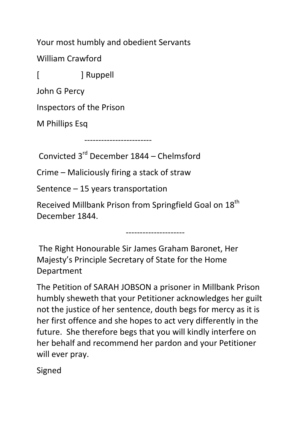Your most humbly and obedient Servants

William Crawford

[ ] Ruppell

John G Percy

Inspectors of the Prison

M Phillips Esq

------------------------

Convicted 3rd December 1844 – Chelmsford

Crime – Maliciously firing a stack of straw

Sentence – 15 years transportation

Received Millbank Prison from Springfield Goal on 18<sup>th</sup> December 1844.

---------------------

 The Right Honourable Sir James Graham Baronet, Her Majesty's Principle Secretary of State for the Home Department

The Petition of SARAH JOBSON a prisoner in Millbank Prison humbly sheweth that your Petitioner acknowledges her guilt not the justice of her sentence, douth begs for mercy as it is her first offence and she hopes to act very differently in the future. She therefore begs that you will kindly interfere on her behalf and recommend her pardon and your Petitioner will ever pray.

Signed